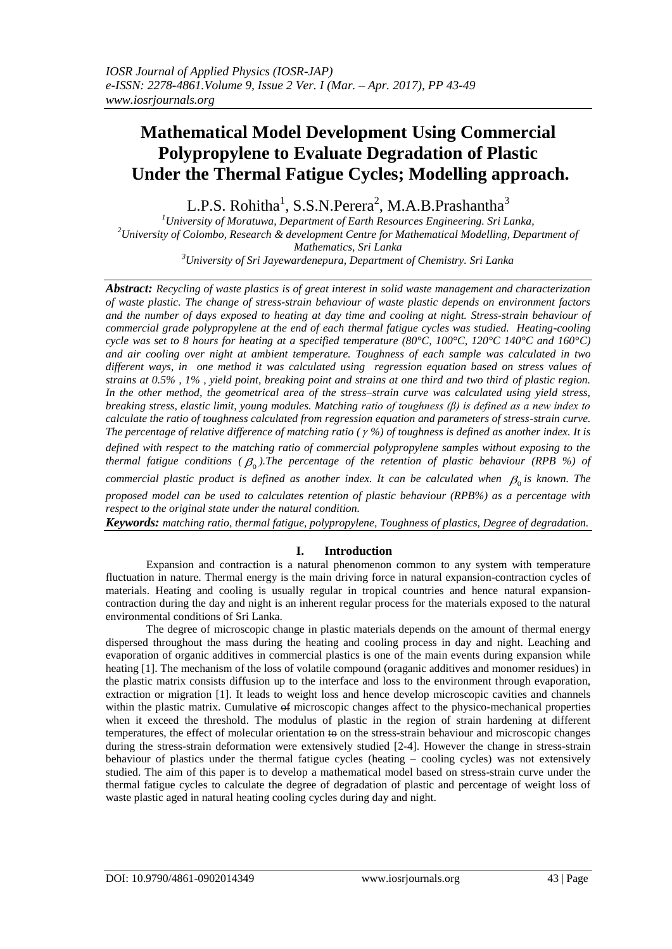# **Mathematical Model Development Using Commercial Polypropylene to Evaluate Degradation of Plastic Under the Thermal Fatigue Cycles; Modelling approach.**

L.P.S. Rohitha<sup>1</sup>, S.S.N.Perera<sup>2</sup>, M.A.B.Prashantha<sup>3</sup>

*University of Moratuwa, Department of Earth Resources Engineering. Sri Lanka, University of Colombo, Research & development Centre for Mathematical Modelling, Department of Mathematics, Sri Lanka University of Sri Jayewardenepura, Department of Chemistry. Sri Lanka*

*Abstract: Recycling of waste plastics is of great interest in solid waste management and characterization of waste plastic. The change of stress-strain behaviour of waste plastic depends on environment factors and the number of days exposed to heating at day time and cooling at night. Stress-strain behaviour of commercial grade polypropylene at the end of each thermal fatigue cycles was studied. Heating-cooling cycle was set to 8 hours for heating at a specified temperature (80°C, 100°C, 120°C 140°C and 160°C) and air cooling over night at ambient temperature. Toughness of each sample was calculated in two different ways, in one method it was calculated using regression equation based on stress values of strains at 0.5% , 1% , yield point, breaking point and strains at one third and two third of plastic region. In the other method, the geometrical area of the stress–strain curve was calculated using yield stress, breaking stress, elastic limit, young modules. Matching ratio of toughness (β) is defined as a new index to calculate the ratio of toughness calculated from regression equation and parameters of stress-strain curve. The percentage of relative difference of matching ratio ( %) of toughness is defined as another index. It is defined with respect to the matching ratio of commercial polypropylene samples without exposing to the*  thermal fatigue conditions (  $\beta_{0}$  ).The percentage of the retention of plastic behaviour (RPB %) of *commercial plastic product is defined as another index. It can be calculated when*  $\beta_0$  *is known. The proposed model can be used to calculates retention of plastic behaviour (RPB%) as a percentage with respect to the original state under the natural condition. Keywords: matching ratio, thermal fatigue, polypropylene, Toughness of plastics, Degree of degradation.*

## **I. Introduction**

Expansion and contraction is a natural phenomenon common to any system with temperature fluctuation in nature. Thermal energy is the main driving force in natural expansion-contraction cycles of materials. Heating and cooling is usually regular in tropical countries and hence natural expansioncontraction during the day and night is an inherent regular process for the materials exposed to the natural environmental conditions of Sri Lanka.

The degree of microscopic change in plastic materials depends on the amount of thermal energy dispersed throughout the mass during the heating and cooling process in day and night. Leaching and evaporation of organic additives in commercial plastics is one of the main events during expansion while heating [1]. The mechanism of the loss of volatile compound (oraganic additives and monomer residues) in the plastic matrix consists diffusion up to the interface and loss to the environment through evaporation, extraction or migration [1]. It leads to weight loss and hence develop microscopic cavities and channels within the plastic matrix. Cumulative  $\Theta$  microscopic changes affect to the physico-mechanical properties when it exceed the threshold. The modulus of plastic in the region of strain hardening at different temperatures, the effect of molecular orientation to on the stress-strain behaviour and microscopic changes during the stress-strain deformation were extensively studied [2-4]. However the change in stress-strain behaviour of plastics under the thermal fatigue cycles (heating – cooling cycles) was not extensively studied. The aim of this paper is to develop a mathematical model based on stress-strain curve under the thermal fatigue cycles to calculate the degree of degradation of plastic and percentage of weight loss of waste plastic aged in natural heating cooling cycles during day and night.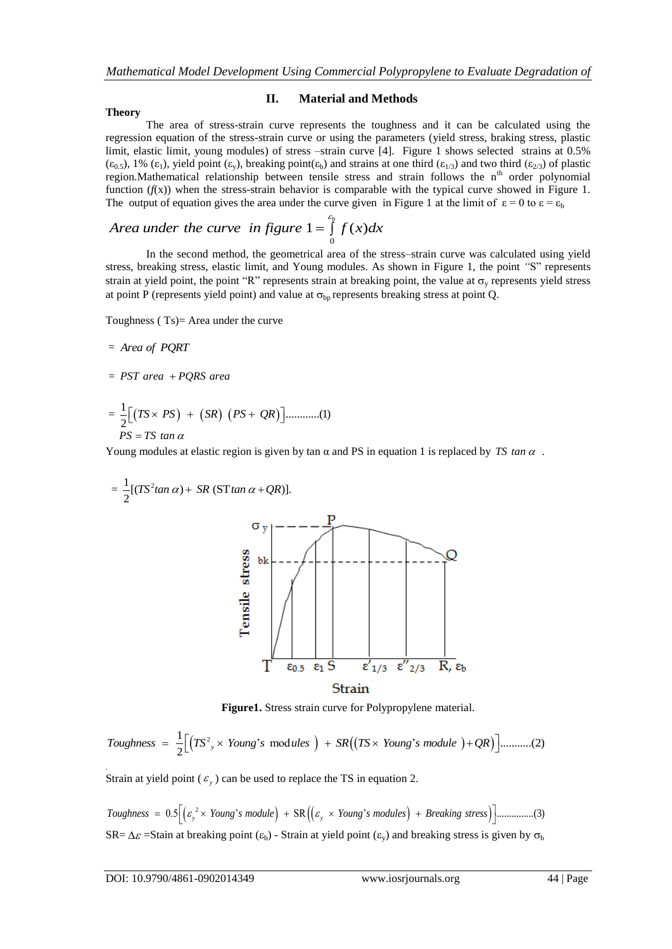#### **Theory**

#### **II. Material and Methods**

The area of stress-strain curve represents the toughness and it can be calculated using the regression equation of the stress-strain curve or using the parameters (yield stress, braking stress, plastic limit, elastic limit, young modules) of stress –strain curve [4]. Figure 1 shows selected strains at 0.5%  $(\epsilon_0, \epsilon)$ , 1%  $(\epsilon_1)$ , yield point  $(\epsilon_v)$ , breaking point $(\epsilon_b)$  and strains at one third  $(\epsilon_{1/3})$  and two third  $(\epsilon_{2/3})$  of plastic region. Mathematical relationship between tensile stress and strain follows the  $n<sup>th</sup>$  order polynomial function  $(f(x))$  when the stress-strain behavior is comparable with the typical curve showed in Figure 1.

The output of equation gives the area under the curve given in Figure 1 at the limit of 
$$
\varepsilon = 0
$$
 to  $\varepsilon = \varepsilon_b$   
Area under the curve in figure  $1 = \int_{0}^{\varepsilon_b} f(x) dx$ 

In the second method, the geometrical area of the stress–strain curve was calculated using yield stress, breaking stress, elastic limit, and Young modules. As shown in Figure 1, the point *"*S" represents strain at yield point, the point "R" represents strain at breaking point, the value at  $\sigma_v$  represents yield stress at point P (represents yield point) and value at  $\sigma_{bp}$  represents breaking stress at point Q.

Toughness ( Ts)= Area under the curve

$$
= Area of PQRT
$$

- <sup>=</sup>*PST area a PQRS are*
- = ......... 2 ...( <sup>1</sup> *TS PS SR PS QR* 1)  $PS = TS$  tan  $\alpha$

Young modules at elastic region is given by tan  $\alpha$  and PS in equation 1 is replaced by TS tan  $\alpha$ .



**Figure 1.** Stress strain curve for Polypropylene material.  
\n*Toughness* = 
$$
\frac{1}{2} \Big[ (TS^2 \times Young's \text{ modules}) + SR((TS \times Young's \text{ module}) + QR) \Big] \dots \dots \dots (2)
$$

Strain at yield point ( $\varepsilon$ <sub>y</sub>) can be used to replace the TS in equation 2.

 $(\varepsilon_{\rm v}^2 \times$  Young's module) + SR $((\varepsilon_{\rm v} \times$  Young's modules) + Breaking stress) 0.5 " SR " ...............(3) *Toughness Young s module Young s modules Breaki y y ng stress*  $SR = \Delta \mathcal{E}$  =Stain at breaking point ( $\varepsilon_b$ ) - Strain at yield point ( $\varepsilon_v$ ) and breaking stress is given by  $\sigma_b$ 

.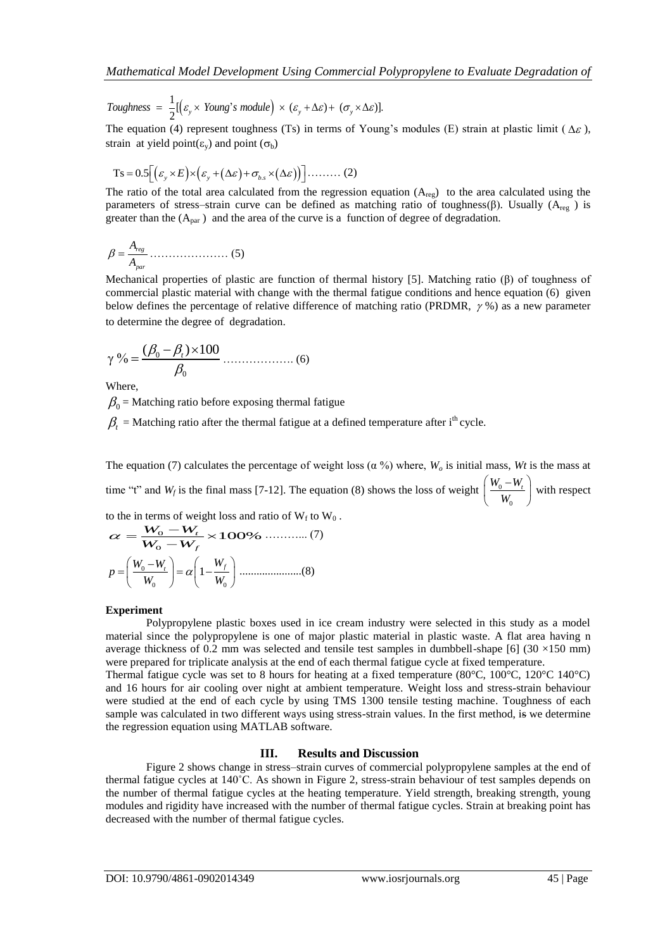$\mathbb{I}(\varepsilon_{y} \times \textit{Young's module}) \times (\varepsilon_{y} + \Delta \varepsilon) + (\sigma_{y} \times \Delta \varepsilon)$ 1 Toughness =  $\frac{1}{2}[(\varepsilon_y \times \text{Young's module}) \times (\varepsilon_y + \Delta \varepsilon) + (\sigma_y \times \Delta \varepsilon)].$ 

The equation (4) represent toughness (Ts) in terms of Young's modules (E) strain at plastic limit ( $\Delta \varepsilon$ ), strain at yield point( $\varepsilon_v$ ) and point ( $\sigma_b$ )

$$
Ts = 0.5 \left[ \left( \varepsilon_{y} \times E \right) \times \left( \varepsilon_{y} + (\Delta \varepsilon) + \sigma_{b.s} \times (\Delta \varepsilon) \right) \right] \dots \dots \dots (2)
$$

The ratio of the total area calculated from the regression equation  $(A_{\text{rec}})$  to the area calculated using the parameters of stress–strain curve can be defined as matching ratio of toughness(β). Usually ( $A_{res}$ ) is greater than the  $(A<sub>par</sub>)$  and the area of the curve is a function of degree of degradation.

$$
\beta = \frac{A_{reg}}{A_{par}} \dots \dots \dots \dots \dots \dots \tag{5}
$$

Mechanical properties of plastic are function of thermal history [5]. Matching ratio (β) of toughness of commercial plastic material with change with the thermal fatigue conditions and hence equation (6) given below defines the percentage of relative difference of matching ratio (PRDMR,  $\gamma$ %) as a new parameter to determine the degree of degradation.

$$
\gamma \% = \frac{(\beta_0 - \beta_t) \times 100}{\beta_0} \dots \dots \dots \dots \dots \dots \tag{6}
$$

Where,

 $\beta_0$  = Matching ratio before exposing thermal fatigue

 $\beta_t$  = Matching ratio after the thermal fatigue at a defined temperature after i<sup>th</sup> cycle.

The equation (7) calculates the percentage of weight loss ( $\alpha$ %) where,  $W_o$  is initial mass, *Wt* is the mass at time "t" and  $W_f$  is the final mass [7-12]. The equation (8) shows the loss of weight  $\frac{W_0}{\sqrt{2}}$  $\mathbf 0$  $W_0 - W_t$ *W*  $(W_0-W_1)$  $\left(\frac{W_0 - W_t}{W_0}\right)$  with respect

to the in terms of weight loss and ratio of  $W_f$  to  $W_0$ .<br> $\alpha = \frac{W_0 - W_f}{\alpha} \times 100\%$  (7)

$$
\alpha = \frac{W_0 - W_f}{W_0 - W_f} \times 100\% \quad \dots \quad (7)
$$

$$
p = \left(\frac{W_0 - W_f}{W_0}\right) = \alpha \left(1 - \frac{W_f}{W_0}\right) \dots \quad (8)
$$

#### **Experiment**

Polypropylene plastic boxes used in ice cream industry were selected in this study as a model material since the polypropylene is one of major plastic material in plastic waste. A flat area having n average thickness of 0.2 mm was selected and tensile test samples in dumbbell-shape [6]  $(30 \times 150 \text{ mm})$ were prepared for triplicate analysis at the end of each thermal fatigue cycle at fixed temperature.

Thermal fatigue cycle was set to 8 hours for heating at a fixed temperature (80°C, 100°C, 120°C 140°C) and 16 hours for air cooling over night at ambient temperature. Weight loss and stress-strain behaviour were studied at the end of each cycle by using TMS 1300 tensile testing machine. Toughness of each sample was calculated in two different ways using stress-strain values. In the first method, is we determine the regression equation using MATLAB software.

#### **III. Results and Discussion**

Figure 2 shows change in stress–strain curves of commercial polypropylene samples at the end of thermal fatigue cycles at 140˚C. As shown in Figure 2, stress-strain behaviour of test samples depends on the number of thermal fatigue cycles at the heating temperature. Yield strength, breaking strength, young modules and rigidity have increased with the number of thermal fatigue cycles. Strain at breaking point has decreased with the number of thermal fatigue cycles.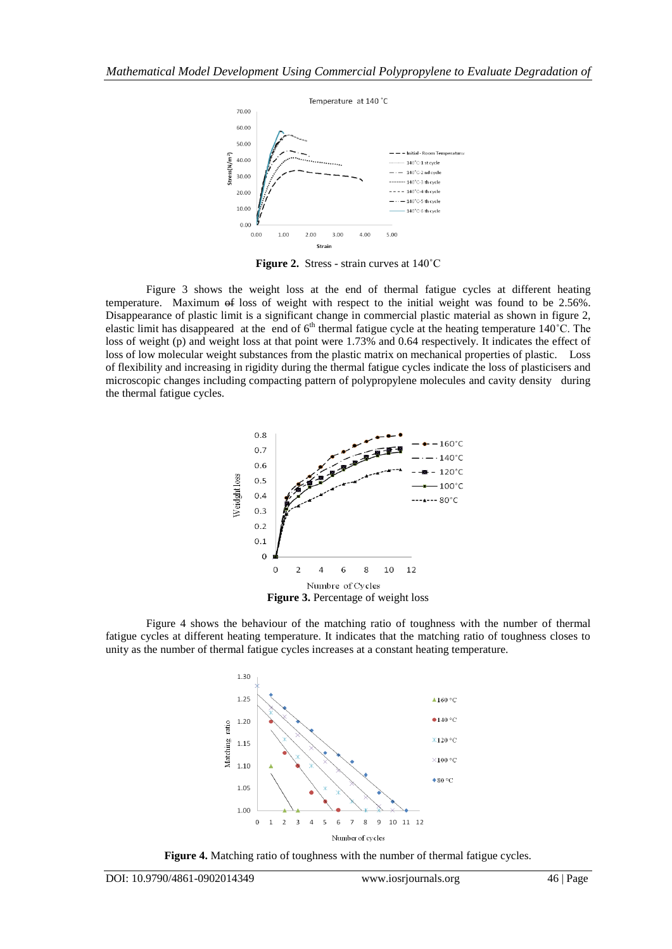

**Figure 2.** Stress - strain curves at 140˚C

Figure 3 shows the weight loss at the end of thermal fatigue cycles at different heating temperature. Maximum of loss of weight with respect to the initial weight was found to be 2.56%. Disappearance of plastic limit is a significant change in commercial plastic material as shown in figure 2, elastic limit has disappeared at the end of  $6<sup>th</sup>$  thermal fatigue cycle at the heating temperature 140°C. The loss of weight (p) and weight loss at that point were 1.73% and 0.64 respectively. It indicates the effect of loss of low molecular weight substances from the plastic matrix on mechanical properties of plastic. Loss of flexibility and increasing in rigidity during the thermal fatigue cycles indicate the loss of plasticisers and microscopic changes including compacting pattern of polypropylene molecules and cavity density during the thermal fatigue cycles.



Figure 4 shows the behaviour of the matching ratio of toughness with the number of thermal fatigue cycles at different heating temperature. It indicates that the matching ratio of toughness closes to unity as the number of thermal fatigue cycles increases at a constant heating temperature.



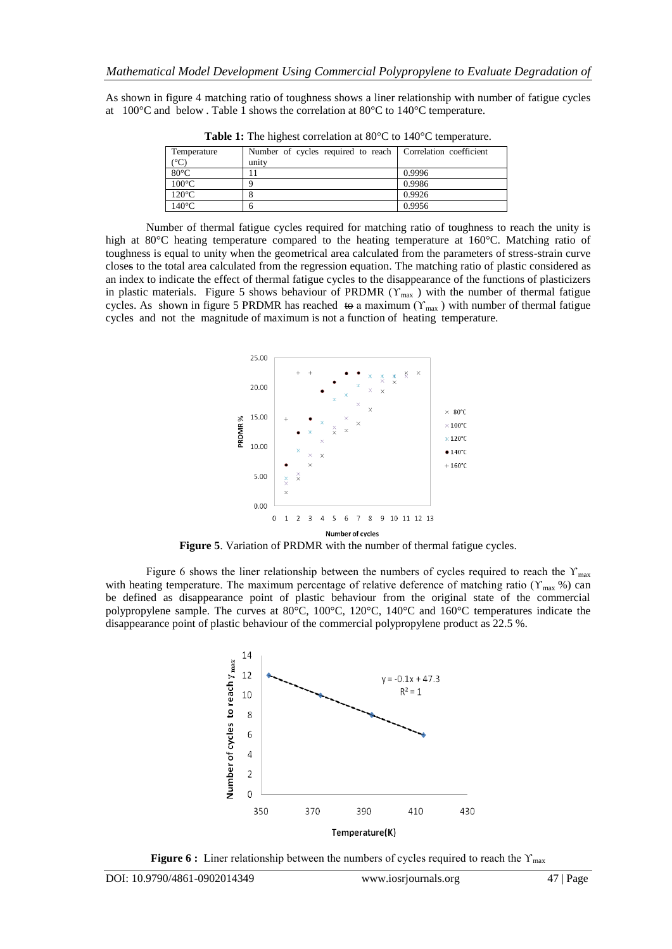As shown in figure 4 matching ratio of toughness shows a liner relationship with number of fatigue cycles at 100 $^{\circ}$ C and below. Table 1 shows the correlation at 80 $^{\circ}$ C to 140 $^{\circ}$ C temperature.

| Temperature     | Number of cycles required to reach   Correlation coefficient |        |
|-----------------|--------------------------------------------------------------|--------|
| $(^{\circ}C)$   | unity                                                        |        |
| $80^{\circ}$ C  |                                                              | 0.9996 |
| $100^{\circ}$ C |                                                              | 0.9986 |
| $120^{\circ}$ C |                                                              | 0.9926 |
| $140^{\circ}$ C |                                                              | 0.9956 |
|                 |                                                              |        |

**Table 1:** The highest correlation at 80°C to 140°C temperature.

Number of thermal fatigue cycles required for matching ratio of toughness to reach the unity is high at 80°C heating temperature compared to the heating temperature at 160°C. Matching ratio of toughness is equal to unity when the geometrical area calculated from the parameters of stress-strain curve closes to the total area calculated from the regression equation. The matching ratio of plastic considered as an index to indicate the effect of thermal fatigue cycles to the disappearance of the functions of plasticizers in plastic materials. Figure 5 shows behaviour of PRDMR ( $\Upsilon_{\text{max}}$ ) with the number of thermal fatigue cycles. As shown in figure 5 PRDMR has reached to a maximum ( $Y_{\text{max}}$ ) with number of thermal fatigue cycles and not the magnitude of maximum is not a function of heating temperature.



**Figure 5**. Variation of PRDMR with the number of thermal fatigue cycles.

Figure 6 shows the liner relationship between the numbers of cycles required to reach the  $Y_{\text{max}}$ with heating temperature. The maximum percentage of relative deference of matching ratio ( $Y_{\text{max}}$  %) can be defined as disappearance point of plastic behaviour from the original state of the commercial polypropylene sample. The curves at 80°C, 100°C, 120°C, 140°C and 160°C temperatures indicate the disappearance point of plastic behaviour of the commercial polypropylene product as 22.5 %.



**Figure 6 :** Liner relationship between the numbers of cycles required to reach the Υ<sub>max</sub>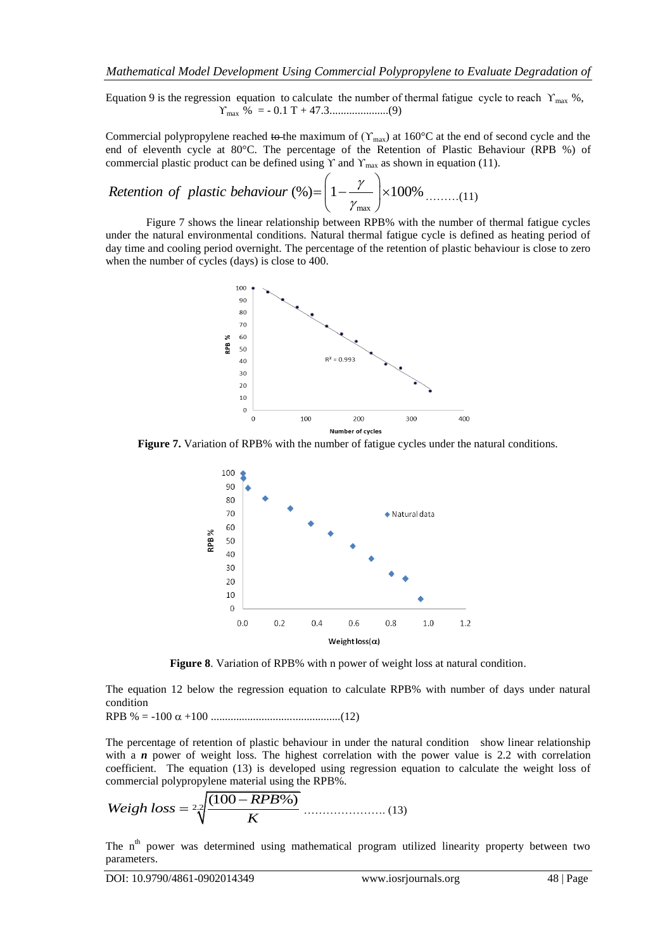Equation 9 is the regression equation to calculate the number of thermal fatigue cycle to reach  $Y_{\text{max}}$  %, ϒmax % = - 0.1 T + 47.3.....................(9)

Commercial polypropylene reached to the maximum of ( $Y_{\text{max}}$ ) at 160°C at the end of second cycle and the end of eleventh cycle at 80°C. The percentage of the Retention of Plastic Behaviour (RPB %) of ge of the Retention<br>  $\gamma$  and  $\gamma_{\text{max}}$  as shown<br>  $\left(1 - \frac{\gamma}{\gamma_{\text{max}}} \right) \times 100\%$ 

commercial plastic product can be defined using Y and Y<sub>max</sub> as shown in equation (11).  
Retention of plastic behaviour (%) = 
$$
\left(1 - \frac{\gamma}{\gamma_{\text{max}}}\right) \times 100\%
$$
 .........(11)

Figure 7 shows the linear relationship between RPB% with the number of thermal fatigue cycles under the natural environmental conditions. Natural thermal fatigue cycle is defined as heating period of day time and cooling period overnight. The percentage of the retention of plastic behaviour is close to zero when the number of cycles (days) is close to 400.



**Figure 7.** Variation of RPB% with the number of fatigue cycles under the natural conditions.



**Figure 8**. Variation of RPB% with n power of weight loss at natural condition.

The equation 12 below the regression equation to calculate RPB% with number of days under natural condition

RPB % = -100 +100 ..............................................(12)

The percentage of retention of plastic behaviour in under the natural condition show linear relationship with a *n* power of weight loss. The highest correlation with the power value is 2.2 with correlation coefficient. The equation (13) is developed using regression equation to calculate the weight loss of

commercial polypropylene material using the RPB%. (100 %) *RPB Weigh loss* 2.2 *K* …………………. (13)

The n<sup>th</sup> power was determined using mathematical program utilized linearity property between two parameters.